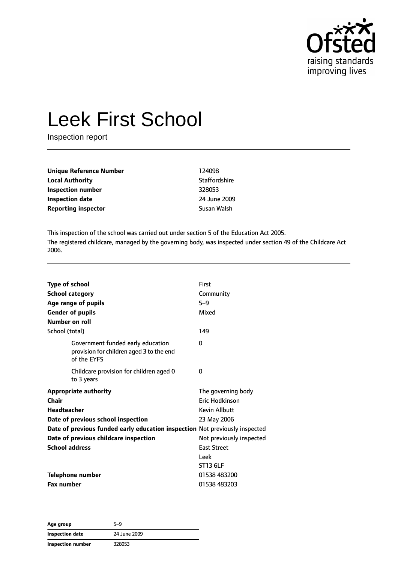

# Leek First School

Inspection report

| Unique Reference Number                   | 124098               |
|-------------------------------------------|----------------------|
| <b>Local Authority</b>                    | <b>Staffordshire</b> |
| Inspection number                         | 328053               |
| <b>Inspection date</b>                    | 24 June 2009         |
| <b>Reporting inspector</b><br>Susan Walsh |                      |

This inspection of the school was carried out under section 5 of the Education Act 2005. The registered childcare, managed by the governing body, was inspected under section 49 of the Childcare Act 2006.

| <b>Type of school</b> | <b>School category</b><br>Age range of pupils<br><b>Gender of pupils</b>                     | First<br>Community<br>$5 - 9$<br>Mixed |
|-----------------------|----------------------------------------------------------------------------------------------|----------------------------------------|
| Number on roll        |                                                                                              |                                        |
| School (total)        |                                                                                              | 149                                    |
|                       | Government funded early education<br>provision for children aged 3 to the end<br>of the EYFS | 0                                      |
|                       | Childcare provision for children aged 0<br>to 3 years                                        | 0                                      |
|                       | <b>Appropriate authority</b>                                                                 | The governing body                     |
| Chair                 |                                                                                              | <b>Eric Hodkinson</b>                  |
| Headteacher           |                                                                                              | <b>Kevin Allbutt</b>                   |
|                       | Date of previous school inspection                                                           | 23 May 2006                            |
|                       | Date of previous funded early education inspection Not previously inspected                  |                                        |
|                       | Date of previous childcare inspection                                                        | Not previously inspected               |
| <b>School address</b> |                                                                                              | <b>East Street</b>                     |
|                       |                                                                                              | Leek                                   |
|                       |                                                                                              | ST13 6LF                               |
|                       | <b>Telephone number</b>                                                                      | 01538 483200                           |
| <b>Fax number</b>     |                                                                                              | 01538 483203                           |

**Age group** 5–9 **Inspection date** 24 June 2009 **Inspection number** 328053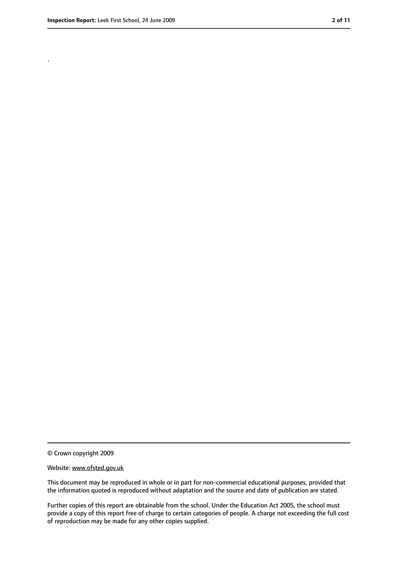.

<sup>©</sup> Crown copyright 2009

Website: www.ofsted.gov.uk

This document may be reproduced in whole or in part for non-commercial educational purposes, provided that the information quoted is reproduced without adaptation and the source and date of publication are stated.

Further copies of this report are obtainable from the school. Under the Education Act 2005, the school must provide a copy of this report free of charge to certain categories of people. A charge not exceeding the full cost of reproduction may be made for any other copies supplied.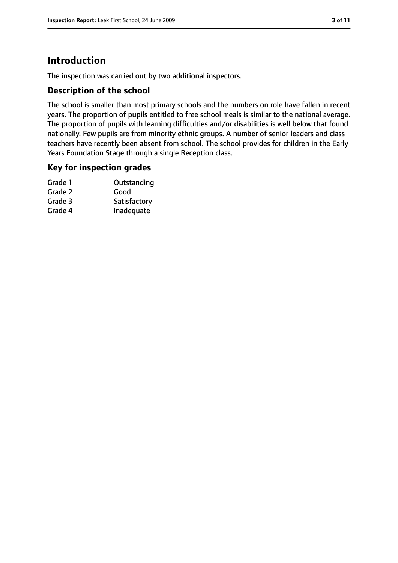# **Introduction**

The inspection was carried out by two additional inspectors.

### **Description of the school**

The school is smaller than most primary schools and the numbers on role have fallen in recent years. The proportion of pupils entitled to free school meals is similar to the national average. The proportion of pupils with learning difficulties and/or disabilities is well below that found nationally. Few pupils are from minority ethnic groups. A number of senior leaders and class teachers have recently been absent from school. The school provides for children in the Early Years Foundation Stage through a single Reception class.

#### **Key for inspection grades**

| Grade 1 | Outstanding  |
|---------|--------------|
| Grade 2 | Good         |
| Grade 3 | Satisfactory |
| Grade 4 | Inadequate   |
|         |              |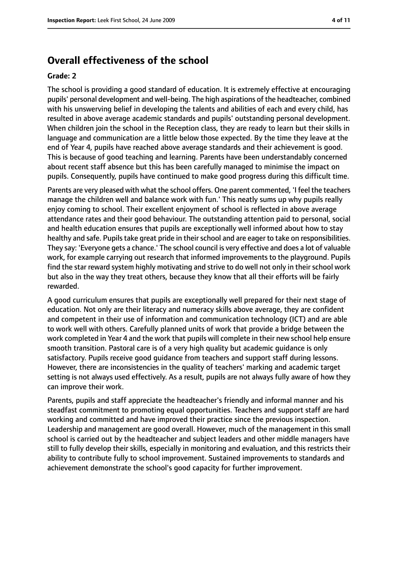## **Overall effectiveness of the school**

#### **Grade: 2**

The school is providing a good standard of education. It is extremely effective at encouraging pupils' personal development and well-being. The high aspirations of the headteacher, combined with his unswerving belief in developing the talents and abilities of each and every child, has resulted in above average academic standards and pupils' outstanding personal development. When children join the school in the Reception class, they are ready to learn but their skills in language and communication are a little below those expected. By the time they leave at the end of Year 4, pupils have reached above average standards and their achievement is good. This is because of good teaching and learning. Parents have been understandably concerned about recent staff absence but this has been carefully managed to minimise the impact on pupils. Consequently, pupils have continued to make good progress during this difficult time.

Parents are very pleased with what the school offers. One parent commented, 'I feel the teachers manage the children well and balance work with fun.' This neatly sums up why pupils really enjoy coming to school. Their excellent enjoyment of school is reflected in above average attendance rates and their good behaviour. The outstanding attention paid to personal, social and health education ensures that pupils are exceptionally well informed about how to stay healthy and safe. Pupils take great pride in their school and are eager to take on responsibilities. They say: 'Everyone gets a chance.' The school council is very effective and does a lot of valuable work, for example carrying out research that informed improvements to the playground. Pupils find the star reward system highly motivating and strive to do well not only in their school work but also in the way they treat others, because they know that all their efforts will be fairly rewarded.

A good curriculum ensures that pupils are exceptionally well prepared for their next stage of education. Not only are their literacy and numeracy skills above average, they are confident and competent in their use of information and communication technology (ICT) and are able to work well with others. Carefully planned units of work that provide a bridge between the work completed in Year 4 and the work that pupils will complete in their new school help ensure smooth transition. Pastoral care is of a very high quality but academic guidance is only satisfactory. Pupils receive good guidance from teachers and support staff during lessons. However, there are inconsistencies in the quality of teachers' marking and academic target setting is not always used effectively. As a result, pupils are not always fully aware of how they can improve their work.

Parents, pupils and staff appreciate the headteacher's friendly and informal manner and his steadfast commitment to promoting equal opportunities. Teachers and support staff are hard working and committed and have improved their practice since the previous inspection. Leadership and management are good overall. However, much of the management in this small school is carried out by the headteacher and subject leaders and other middle managers have still to fully develop their skills, especially in monitoring and evaluation, and this restricts their ability to contribute fully to school improvement. Sustained improvements to standards and achievement demonstrate the school's good capacity for further improvement.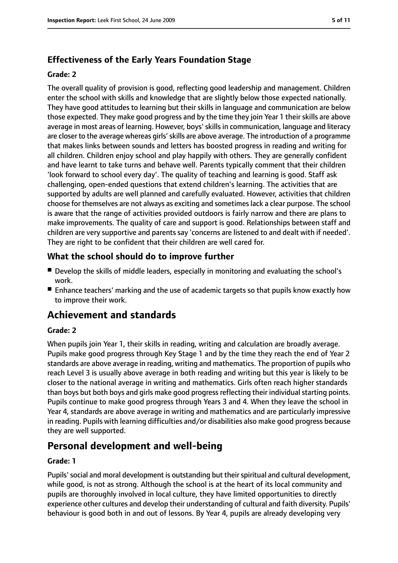## **Effectiveness of the Early Years Foundation Stage**

#### **Grade: 2**

The overall quality of provision is good, reflecting good leadership and management. Children enter the school with skills and knowledge that are slightly below those expected nationally. They have good attitudes to learning but their skills in language and communication are below those expected. They make good progress and by the time they join Year 1 their skills are above average in most areas of learning. However, boys' skills in communication, language and literacy are closer to the average whereas girls'skills are above average. The introduction of a programme that makes links between sounds and letters has boosted progress in reading and writing for all children. Children enjoy school and play happily with others. They are generally confident and have learnt to take turns and behave well. Parents typically comment that their children 'look forward to school every day'. The quality of teaching and learning is good. Staff ask challenging, open-ended questions that extend children's learning. The activities that are supported by adults are well planned and carefully evaluated. However, activities that children choose for themselves are not always as exciting and sometimeslack a clear purpose. The school is aware that the range of activities provided outdoors is fairly narrow and there are plans to make improvements. The quality of care and support is good. Relationships between staff and children are very supportive and parents say 'concerns are listened to and dealt with if needed'. They are right to be confident that their children are well cared for.

## **What the school should do to improve further**

- Develop the skills of middle leaders, especially in monitoring and evaluating the school's work.
- Enhance teachers' marking and the use of academic targets so that pupils know exactly how to improve their work.

# **Achievement and standards**

#### **Grade: 2**

When pupils join Year 1, their skills in reading, writing and calculation are broadly average. Pupils make good progress through Key Stage 1 and by the time they reach the end of Year 2 standards are above average in reading, writing and mathematics. The proportion of pupils who reach Level 3 is usually above average in both reading and writing but this year is likely to be closer to the national average in writing and mathematics. Girls often reach higher standards than boys but both boys and girls make good progress reflecting their individual starting points. Pupils continue to make good progress through Years 3 and 4. When they leave the school in Year 4, standards are above average in writing and mathematics and are particularly impressive in reading. Pupils with learning difficulties and/or disabilities also make good progress because they are well supported.

# **Personal development and well-being**

#### **Grade: 1**

Pupils' social and moral development is outstanding but their spiritual and cultural development, while good, is not as strong. Although the school is at the heart of its local community and pupils are thoroughly involved in local culture, they have limited opportunities to directly experience other cultures and develop their understanding of cultural and faith diversity. Pupils' behaviour is good both in and out of lessons. By Year 4, pupils are already developing very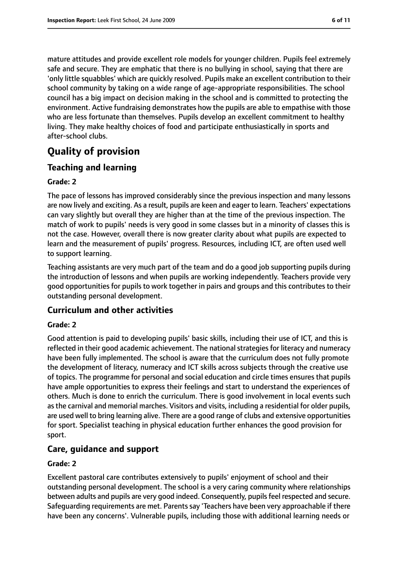mature attitudes and provide excellent role models for younger children. Pupils feel extremely safe and secure. They are emphatic that there is no bullying in school, saying that there are 'only little squabbles' which are quickly resolved. Pupils make an excellent contribution to their school community by taking on a wide range of age-appropriate responsibilities. The school council has a big impact on decision making in the school and is committed to protecting the environment. Active fundraising demonstrates how the pupils are able to empathise with those who are less fortunate than themselves. Pupils develop an excellent commitment to healthy living. They make healthy choices of food and participate enthusiastically in sports and after-school clubs.

# **Quality of provision**

## **Teaching and learning**

#### **Grade: 2**

The pace of lessons has improved considerably since the previous inspection and many lessons are now lively and exciting. As a result, pupils are keen and eager to learn. Teachers' expectations can vary slightly but overall they are higher than at the time of the previous inspection. The match of work to pupils' needs is very good in some classes but in a minority of classes this is not the case. However, overall there is now greater clarity about what pupils are expected to learn and the measurement of pupils' progress. Resources, including ICT, are often used well to support learning.

Teaching assistants are very much part of the team and do a good job supporting pupils during the introduction of lessons and when pupils are working independently. Teachers provide very good opportunities for pupils to work together in pairs and groups and this contributes to their outstanding personal development.

## **Curriculum and other activities**

#### **Grade: 2**

Good attention is paid to developing pupils' basic skills, including their use of ICT, and this is reflected in their good academic achievement. The national strategies for literacy and numeracy have been fully implemented. The school is aware that the curriculum does not fully promote the development of literacy, numeracy and ICT skills across subjects through the creative use of topics. The programme for personal and social education and circle times ensures that pupils have ample opportunities to express their feelings and start to understand the experiences of others. Much is done to enrich the curriculum. There is good involvement in local events such asthe carnival and memorial marches. Visitors and visits, including a residential for older pupils, are used well to bring learning alive. There are a good range of clubs and extensive opportunities for sport. Specialist teaching in physical education further enhances the good provision for sport.

## **Care, guidance and support**

#### **Grade: 2**

Excellent pastoral care contributes extensively to pupils' enjoyment of school and their outstanding personal development. The school is a very caring community where relationships between adults and pupils are very good indeed. Consequently, pupils feel respected and secure. Safeguarding requirements are met. Parentssay 'Teachers have been very approachable if there have been any concerns'. Vulnerable pupils, including those with additional learning needs or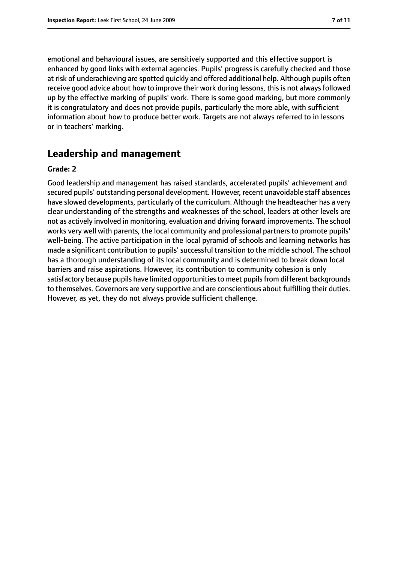emotional and behavioural issues, are sensitively supported and this effective support is enhanced by good links with external agencies. Pupils' progress is carefully checked and those at risk of underachieving are spotted quickly and offered additional help. Although pupils often receive good advice about how to improve their work during lessons, this is not always followed up by the effective marking of pupils' work. There is some good marking, but more commonly it is congratulatory and does not provide pupils, particularly the more able, with sufficient information about how to produce better work. Targets are not always referred to in lessons or in teachers' marking.

# **Leadership and management**

#### **Grade: 2**

Good leadership and management has raised standards, accelerated pupils' achievement and secured pupils' outstanding personal development. However, recent unavoidable staff absences have slowed developments, particularly of the curriculum. Although the headteacher has a very clear understanding of the strengths and weaknesses of the school, leaders at other levels are not as actively involved in monitoring, evaluation and driving forward improvements. The school works very well with parents, the local community and professional partners to promote pupils' well-being. The active participation in the local pyramid of schools and learning networks has made a significant contribution to pupils' successful transition to the middle school. The school has a thorough understanding of its local community and is determined to break down local barriers and raise aspirations. However, its contribution to community cohesion is only satisfactory because pupils have limited opportunities to meet pupils from different backgrounds to themselves. Governors are very supportive and are conscientious about fulfilling their duties. However, as yet, they do not always provide sufficient challenge.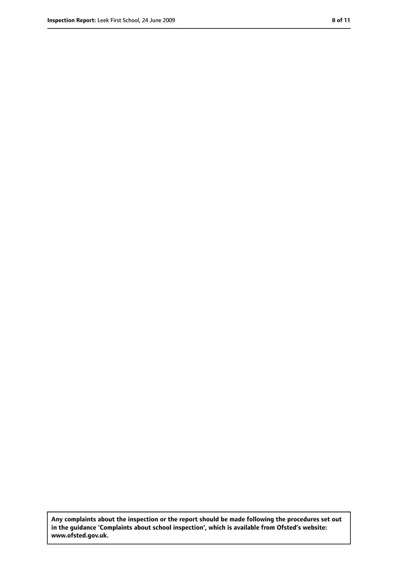**Any complaints about the inspection or the report should be made following the procedures set out in the guidance 'Complaints about school inspection', which is available from Ofsted's website: www.ofsted.gov.uk.**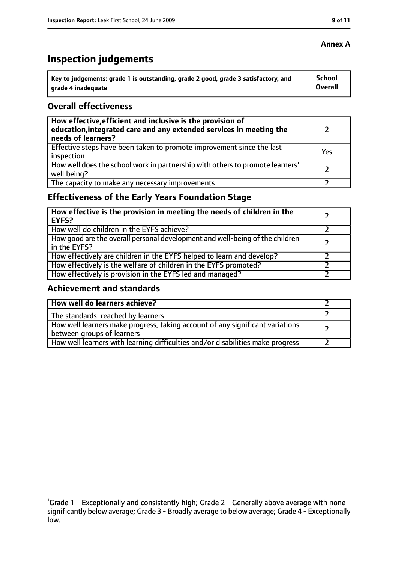# **Inspection judgements**

| $\lq$ Key to judgements: grade 1 is outstanding, grade 2 good, grade 3 satisfactory, and | <b>School</b> |
|------------------------------------------------------------------------------------------|---------------|
| arade 4 inadequate                                                                       | Overall       |

### **Overall effectiveness**

| How effective, efficient and inclusive is the provision of<br>education, integrated care and any extended services in meeting the<br>needs of learners? |     |
|---------------------------------------------------------------------------------------------------------------------------------------------------------|-----|
| Effective steps have been taken to promote improvement since the last<br>inspection                                                                     | Yes |
| How well does the school work in partnership with others to promote learners'<br>well being?                                                            |     |
| The capacity to make any necessary improvements                                                                                                         |     |

# **Effectiveness of the Early Years Foundation Stage**

| How effective is the provision in meeting the needs of children in the<br>l EYFS?              |  |
|------------------------------------------------------------------------------------------------|--|
| How well do children in the EYFS achieve?                                                      |  |
| How good are the overall personal development and well-being of the children<br>I in the EYFS? |  |
| How effectively are children in the EYFS helped to learn and develop?                          |  |
| How effectively is the welfare of children in the EYFS promoted?                               |  |
| How effectively is provision in the EYFS led and managed?                                      |  |

#### **Achievement and standards**

| How well do learners achieve?                                                                               |  |
|-------------------------------------------------------------------------------------------------------------|--|
| The standards <sup>1</sup> reached by learners                                                              |  |
| How well learners make progress, taking account of any significant variations<br>between groups of learners |  |
| How well learners with learning difficulties and/or disabilities make progress                              |  |

#### **Annex A**

<sup>&</sup>lt;sup>1</sup>Grade 1 - Exceptionally and consistently high; Grade 2 - Generally above average with none significantly below average; Grade 3 - Broadly average to below average; Grade 4 - Exceptionally low.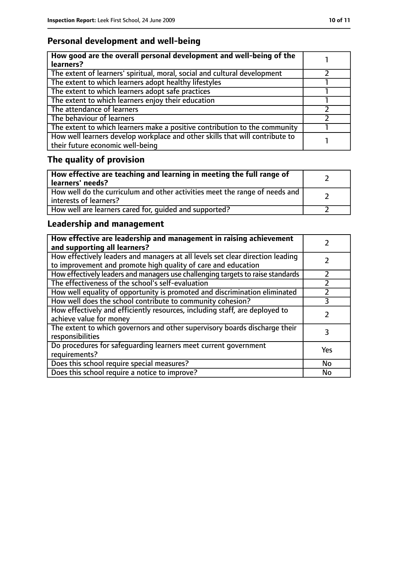# **Personal development and well-being**

| How good are the overall personal development and well-being of the<br>learners?                                 |  |
|------------------------------------------------------------------------------------------------------------------|--|
| The extent of learners' spiritual, moral, social and cultural development                                        |  |
| The extent to which learners adopt healthy lifestyles                                                            |  |
| The extent to which learners adopt safe practices                                                                |  |
| The extent to which learners enjoy their education                                                               |  |
| The attendance of learners                                                                                       |  |
| The behaviour of learners                                                                                        |  |
| The extent to which learners make a positive contribution to the community                                       |  |
| How well learners develop workplace and other skills that will contribute to<br>their future economic well-being |  |

# **The quality of provision**

| How effective are teaching and learning in meeting the full range of<br>learners' needs?              |  |
|-------------------------------------------------------------------------------------------------------|--|
| How well do the curriculum and other activities meet the range of needs and<br>interests of learners? |  |
| How well are learners cared for, quided and supported?                                                |  |

# **Leadership and management**

| How effective are leadership and management in raising achievement<br>and supporting all learners?                                              |           |
|-------------------------------------------------------------------------------------------------------------------------------------------------|-----------|
| How effectively leaders and managers at all levels set clear direction leading<br>to improvement and promote high quality of care and education |           |
| How effectively leaders and managers use challenging targets to raise standards                                                                 | フ         |
| The effectiveness of the school's self-evaluation                                                                                               |           |
| How well equality of opportunity is promoted and discrimination eliminated                                                                      |           |
| How well does the school contribute to community cohesion?                                                                                      | 3         |
| How effectively and efficiently resources, including staff, are deployed to<br>achieve value for money                                          |           |
| The extent to which governors and other supervisory boards discharge their<br>responsibilities                                                  | 3         |
| Do procedures for safequarding learners meet current government<br>requirements?                                                                | Yes       |
| Does this school require special measures?                                                                                                      | <b>No</b> |
| Does this school require a notice to improve?                                                                                                   | No        |